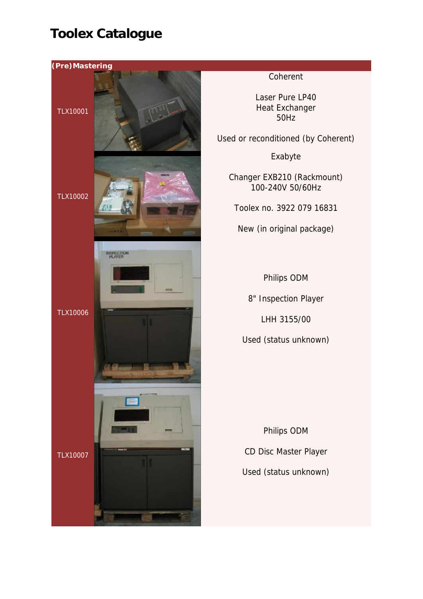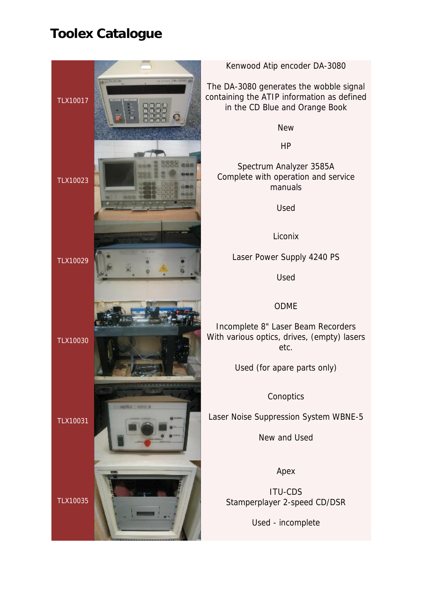

Kenwood Atip encoder DA-3080

The DA-3080 generates the wobble signal containing the ATIP information as defined in the CD Blue and Orange Book

New

HP

Spectrum Analyzer 3585A Complete with operation and service manuals

Used

Liconix

Laser Power Supply 4240 PS

Used

### ODME

Incomplete 8" Laser Beam Recorders With various optics, drives, (empty) lasers etc.

Used (for apare parts only)

**Conoptics** 

Laser Noise Suppression System WBNE-5

New and Used

Apex

ITU-CDS Stamperplayer 2-speed CD/DSR

Used - incomplete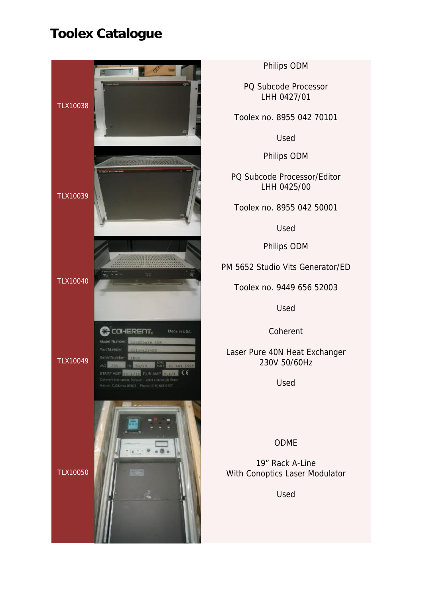

Philips ODM

PQ Subcode Processor LHH 0427/01

Toolex no. 8955 042 70101

Used

Philips ODM

PQ Subcode Processor/Editor LHH 0425/00

Toolex no. 8955 042 50001

Used

Philips ODM

PM 5652 Studio Vits Generator/ED

Toolex no. 9449 656 52003

Used

Coherent

Laser Pure 40N Heat Exchanger 230V 50/60Hz

Used

ODME

19" Rack A-Line With Conoptics Laser Modulator

Used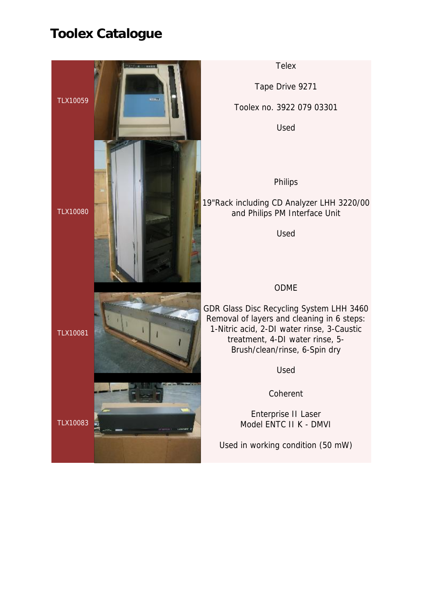

**Telex** 

Tape Drive 9271

Toolex no. 3922 079 03301

Used

Philips

19"Rack including CD Analyzer LHH 3220/00 and Philips PM Interface Unit

Used

### ODME

GDR Glass Disc Recycling System LHH 3460 Removal of layers and cleaning in 6 steps: 1-Nitric acid, 2-DI water rinse, 3-Caustic treatment, 4-DI water rinse, 5- Brush/clean/rinse, 6-Spin dry

Used

Coherent

Enterprise II Laser Model ENTC II K - DMVI

Used in working condition (50 mW)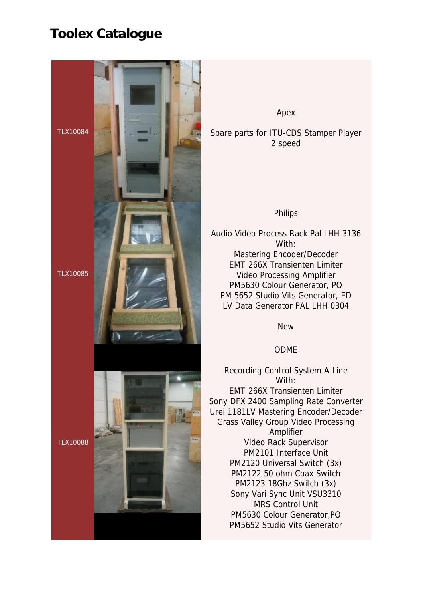

Apex

Spare parts for ITU-CDS Stamper Player 2 speed

#### Philips

Audio Video Process Rack Pal LHH 3136 With: Mastering Encoder/Decoder EMT 266X Transienten Limiter Video Processing Amplifier PM5630 Colour Generator, PO PM 5652 Studio Vits Generator, ED LV Data Generator PAL LHH 0304

New

### ODME

Recording Control System A-Line With: EMT 266X Transienten Limiter Sony DFX 2400 Sampling Rate Converter Urei 1181LV Mastering Encoder/Decoder Grass Valley Group Video Processing Amplifier Video Rack Supervisor PM2101 Interface Unit PM2120 Universal Switch (3x) PM2122 50 ohm Coax Switch PM2123 18Ghz Switch (3x) Sony Vari Sync Unit VSU3310 MRS Control Unit PM5630 Colour Generator,PO PM5652 Studio Vits Generator